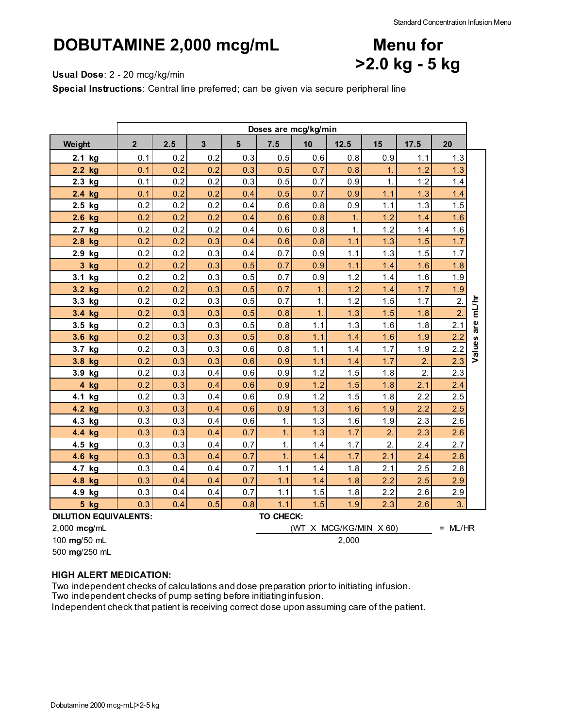**Menu for**

**>2.0 kg - 5 kg**

### **DOBUTAMINE 2,000 mcg/mL**

#### **Usual Dose**: 2 - 20 mcg/kg/min

**Special Instructions**: Central line preferred; can be given via secure peripheral line

|                              | Doses are mcg/kg/min |     |                |                |                  |                        |      |                  |      |                  |                  |
|------------------------------|----------------------|-----|----------------|----------------|------------------|------------------------|------|------------------|------|------------------|------------------|
| Weight                       | $\overline{2}$       | 2.5 | $\overline{3}$ | $5\phantom{1}$ | 7.5              | 10                     | 12.5 | 15               | 17.5 | 20               |                  |
| 2.1 kg                       | 0.1                  | 0.2 | 0.2            | 0.3            | 0.5              | 0.6                    | 0.8  | 0.9              | 1.1  | 1.3              |                  |
| 2.2 kg                       | 0.1                  | 0.2 | 0.2            | 0.3            | 0.5              | 0.7                    | 0.8  | 1.               | 1.2  | 1.3              |                  |
| 2.3 kg                       | 0.1                  | 0.2 | 0.2            | 0.3            | 0.5              | 0.7                    | 0.9  | $\mathbf{1}$     | 1.2  | 1.4              |                  |
| 2.4 kg                       | 0.1                  | 0.2 | 0.2            | 0.4            | 0.5              | 0.7                    | 0.9  | 1.1              | 1.3  | 1.4              |                  |
| 2.5 kg                       | 0.2                  | 0.2 | 0.2            | 0.4            | 0.6              | 0.8                    | 0.9  | 1.1              | 1.3  | 1.5              |                  |
| 2.6 kg                       | 0.2                  | 0.2 | 0.2            | 0.4            | 0.6              | 0.8                    | 1.   | 1.2              | 1.4  | 1.6              |                  |
| 2.7<br>kg                    | 0.2                  | 0.2 | 0.2            | 0.4            | 0.6              | 0.8                    | 1.   | 1.2              | 1.4  | 1.6              |                  |
| 2.8 kg                       | 0.2                  | 0.2 | 0.3            | 0.4            | 0.6              | 0.8                    | 1.1  | 1.3              | 1.5  | 1.7              |                  |
| 2.9 kg                       | 0.2                  | 0.2 | 0.3            | 0.4            | 0.7              | 0.9                    | 1.1  | 1.3              | 1.5  | 1.7              |                  |
| 3 kg                         | 0.2                  | 0.2 | 0.3            | 0.5            | 0.7              | 0.9                    | 1.1  | 1.4              | 1.6  | 1.8              |                  |
| 3.1 kg                       | 0.2                  | 0.2 | 0.3            | 0.5            | 0.7              | 0.9                    | 1.2  | 1.4              | 1.6  | 1.9              |                  |
| 3.2 kg                       | 0.2                  | 0.2 | 0.3            | 0.5            | 0.7              | $\overline{1}$ .       | 1.2  | 1.4              | 1.7  | 1.9              |                  |
| 3.3 kg                       | 0.2                  | 0.2 | 0.3            | 0.5            | 0.7              | $\mathbf{1}$ .         | 1.2  | 1.5              | 1.7  | $\overline{2}$ . |                  |
| 3.4 kg                       | 0.2                  | 0.3 | 0.3            | 0.5            | 0.8              | $\overline{1}$ .       | 1.3  | 1.5              | 1.8  | $\overline{2}$   |                  |
| 3.5 kg                       | 0.2                  | 0.3 | 0.3            | 0.5            | 0.8              | 1.1                    | 1.3  | 1.6              | 1.8  | 2.1              | Values are mL/hr |
| 3.6 kg                       | 0.2                  | 0.3 | 0.3            | 0.5            | 0.8              | 1.1                    | 1.4  | 1.6              | 1.9  | 2.2              |                  |
| 3.7 kg                       | 0.2                  | 0.3 | 0.3            | 0.6            | 0.8              | 1.1                    | 1.4  | 1.7              | 1.9  | 2.2              |                  |
| 3.8 kg                       | 0.2                  | 0.3 | 0.3            | 0.6            | 0.9              | 1.1                    | 1.4  | 1.7              | 2.   | 2.3              |                  |
| 3.9 kg                       | 0.2                  | 0.3 | 0.4            | 0.6            | 0.9              | 1.2                    | 1.5  | 1.8              | 2.   | 2.3              |                  |
| 4 kg                         | 0.2                  | 0.3 | 0.4            | 0.6            | 0.9              | 1.2                    | 1.5  | 1.8              | 2.1  | 2.4              |                  |
| 4.1 kg                       | 0.2                  | 0.3 | 0.4            | 0.6            | 0.9              | 1.2                    | 1.5  | 1.8              | 2.2  | 2.5              |                  |
| 4.2 kg                       | 0.3                  | 0.3 | 0.4            | 0.6            | 0.9              | 1.3                    | 1.6  | 1.9              | 2.2  | 2.5              |                  |
| 4.3 kg                       | 0.3                  | 0.3 | 0.4            | 0.6            | $\mathbf{1}$     | 1.3                    | 1.6  | 1.9              | 2.3  | 2.6              |                  |
| 4.4 kg                       | 0.3                  | 0.3 | 0.4            | 0.7            | $\overline{1}$ . | 1.3                    | 1.7  | $\overline{2}$ . | 2.3  | 2.6              |                  |
| 4.5 kg                       | 0.3                  | 0.3 | 0.4            | 0.7            | 1.               | 1.4                    | 1.7  | $\overline{2}$ . | 2.4  | 2.7              |                  |
| 4.6 kg                       | 0.3                  | 0.3 | 0.4            | 0.7            | $\mathbf 1$      | 1.4                    | 1.7  | 2.1              | 2.4  | 2.8              |                  |
| 4.7 kg                       | 0.3                  | 0.4 | 0.4            | 0.7            | 1.1              | 1.4                    | 1.8  | 2.1              | 2.5  | 2.8              |                  |
| 4.8 kg                       | 0.3                  | 0.4 | 0.4            | 0.7            | 1.1              | 1.4                    | 1.8  | 2.2              | 2.5  | 2.9              |                  |
| 4.9 kg                       | 0.3                  | 0.4 | 0.4            | 0.7            | 1.1              | 1.5                    | 1.8  | 2.2              | 2.6  | 2.9              |                  |
| 5 kg                         | 0.3                  | 0.4 | 0.5            | 0.8            | 1.1              | 1.5                    | 1.9  | 2.3              | 2.6  | $\overline{3}$ . |                  |
| <b>DILUTION EQUIVALENTS:</b> |                      |     |                |                | TO CHECK:        |                        |      |                  |      |                  |                  |
| 2,000 mcg/mL                 |                      |     |                |                |                  | (WT X MCG/KG/MIN X 60) |      |                  |      | $= ML/HR$        |                  |
| 100 mg/50 mL                 | 2,000                |     |                |                |                  |                        |      |                  |      |                  |                  |

500 **mg**/250 mL

### **HIGH ALERT MEDICATION:**

Two independent checks of calculations and dose preparation prior to initiating infusion. Two independent checks of pump setting before initiating infusion.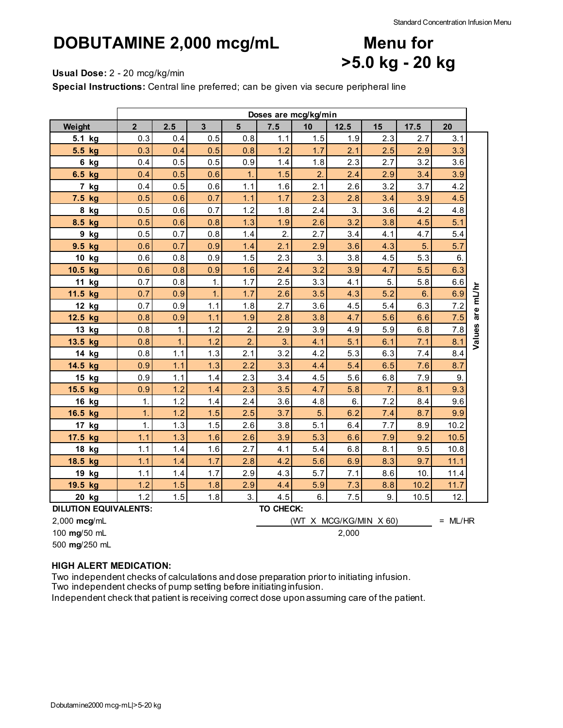# **DOBUTAMINE 2,000 mcg/mL**

## **Menu for >5.0 kg - 20 kg**

**Usual Dose:** 2 - 20 mcg/kg/min

**Special Instructions:** Central line preferred; can be given via secure peripheral line

|                              | Doses are mcg/kg/min |              |                |                  |           |                |                  |                        |      |           |                  |
|------------------------------|----------------------|--------------|----------------|------------------|-----------|----------------|------------------|------------------------|------|-----------|------------------|
| Weight                       | $\overline{2}$       | 2.5          | $\overline{3}$ | $5\overline{)}$  | 7.5       | 10             | 12.5             | 15                     | 17.5 | 20        |                  |
| 5.1 kg                       | 0.3                  | 0.4          | 0.5            | 0.8              | 1.1       | 1.5            | 1.9              | 2.3                    | 2.7  | 3.1       |                  |
| 5.5 kg                       | 0.3                  | 0.4          | 0.5            | 0.8              | 1.2       | 1.7            | 2.1              | 2.5                    | 2.9  | 3.3       |                  |
| 6 kg                         | 0.4                  | 0.5          | 0.5            | 0.9              | 1.4       | 1.8            | 2.3              | 2.7                    | 3.2  | 3.6       |                  |
| 6.5 kg                       | 0.4                  | 0.5          | 0.6            | 1.               | 1.5       | $\overline{2}$ | 2.4              | 2.9                    | 3.4  | 3.9       |                  |
| 7 kg                         | 0.4                  | 0.5          | 0.6            | 1.1              | 1.6       | 2.1            | 2.6              | 3.2                    | 3.7  | 4.2       |                  |
| 7.5 kg                       | 0.5                  | 0.6          | 0.7            | 1.1              | 1.7       | 2.3            | 2.8              | 3.4                    | 3.9  | 4.5       |                  |
| 8 kg                         | 0.5                  | 0.6          | 0.7            | 1.2              | 1.8       | 2.4            | $\overline{3}$ . | 3.6                    | 4.2  | 4.8       |                  |
| 8.5 kg                       | 0.5                  | 0.6          | 0.8            | 1.3              | 1.9       | 2.6            | 3.2              | 3.8                    | 4.5  | 5.1       |                  |
| 9 kg                         | 0.5                  | 0.7          | 0.8            | 1.4              | 2.        | 2.7            | 3.4              | 4.1                    | 4.7  | 5.4       |                  |
| 9.5 kg                       | 0.6                  | 0.7          | 0.9            | 1.4              | 2.1       | 2.9            | 3.6              | 4.3                    | 5.   | 5.7       |                  |
| 10 kg                        | 0.6                  | 0.8          | 0.9            | 1.5              | 2.3       | 3.             | 3.8              | 4.5                    | 5.3  | 6.        |                  |
| 10.5 kg                      | 0.6                  | 0.8          | 0.9            | 1.6              | 2.4       | 3.2            | 3.9              | 4.7                    | 5.5  | 6.3       |                  |
| 11 kg                        | 0.7                  | 0.8          | 1.             | 1.7              | 2.5       | 3.3            | 4.1              | 5.                     | 5.8  | 6.6       |                  |
| 11.5 kg                      | 0.7                  | 0.9          | $\mathbf 1$    | 1.7              | 2.6       | 3.5            | 4.3              | 5.2                    | 6.   | 6.9       |                  |
| 12 kg                        | 0.7                  | 0.9          | 1.1            | 1.8              | 2.7       | 3.6            | 4.5              | 5.4                    | 6.3  | 7.2       |                  |
| 12.5 kg                      | 0.8                  | 0.9          | 1.1            | 1.9              | 2.8       | 3.8            | 4.7              | 5.6                    | 6.6  | 7.5       | Values are mL/hr |
| 13 kg                        | 0.8                  | $\mathbf 1$  | 1.2            | $\overline{2}$   | 2.9       | 3.9            | 4.9              | 5.9                    | 6.8  | 7.8       |                  |
| 13.5 kg                      | 0.8                  | $\mathbf{1}$ | 1.2            | $\overline{2}$   | 3.        | 4.1            | 5.1              | 6.1                    | 7.1  | 8.1       |                  |
| 14 kg                        | 0.8                  | 1.1          | 1.3            | 2.1              | 3.2       | 4.2            | 5.3              | 6.3                    | 7.4  | 8.4       |                  |
| 14.5 kg                      | 0.9                  | 1.1          | 1.3            | 2.2              | 3.3       | 4.4            | 5.4              | 6.5                    | 7.6  | 8.7       |                  |
| 15 kg                        | 0.9                  | 1.1          | 1.4            | 2.3              | 3.4       | 4.5            | 5.6              | 6.8                    | 7.9  | 9.        |                  |
| 15.5 kg                      | 0.9                  | 1.2          | 1.4            | 2.3              | 3.5       | 4.7            | 5.8              | 7.                     | 8.1  | 9.3       |                  |
| 16 kg                        | 1.                   | 1.2          | 1.4            | 2.4              | 3.6       | 4.8            | 6.               | 7.2                    | 8.4  | 9.6       |                  |
| 16.5 kg                      | $\mathbf 1$          | 1.2          | 1.5            | 2.5              | 3.7       | 5.             | 6.2              | 7.4                    | 8.7  | 9.9       |                  |
| 17 kg                        | 1.                   | 1.3          | 1.5            | 2.6              | 3.8       | 5.1            | 6.4              | 7.7                    | 8.9  | 10.2      |                  |
| 17.5 kg                      | 1.1                  | 1.3          | 1.6            | 2.6              | 3.9       | 5.3            | 6.6              | 7.9                    | 9.2  | 10.5      |                  |
| 18 kg                        | 1.1                  | 1.4          | 1.6            | 2.7              | 4.1       | 5.4            | 6.8              | 8.1                    | 9.5  | 10.8      |                  |
| 18.5 kg                      | 1.1                  | 1.4          | 1.7            | 2.8              | 4.2       | 5.6            | 6.9              | 8.3                    | 9.7  | 11.1      |                  |
| 19 kg                        | 1.1                  | 1.4          | 1.7            | 2.9              | 4.3       | 5.7            | 7.1              | 8.6                    | 10.  | 11.4      |                  |
| 19.5 kg                      | 1.2                  | 1.5          | 1.8            | 2.9              | 4.4       | 5.9            | 7.3              | 8.8                    | 10.2 | 11.7      |                  |
| 20 kg                        | 1.2                  | 1.5          | 1.8            | $\overline{3}$ . | 4.5       | 6.             | 7.5              | 9.                     | 10.5 | 12.       |                  |
| <b>DILUTION EQUIVALENTS:</b> |                      |              |                |                  | TO CHECK: |                |                  |                        |      |           |                  |
| 2,000 mcg/mL                 |                      |              |                |                  |           |                |                  | (WT X MCG/KG/MIN X 60) |      | $= ML/HR$ |                  |
| 100 mg/50 mL                 | 2,000                |              |                |                  |           |                |                  |                        |      |           |                  |

500 **mg**/250 mL

### **HIGH ALERT MEDICATION:**

Two independent checks of calculations and dose preparation prior to initiating infusion.

Two independent checks of pump setting before initiating infusion.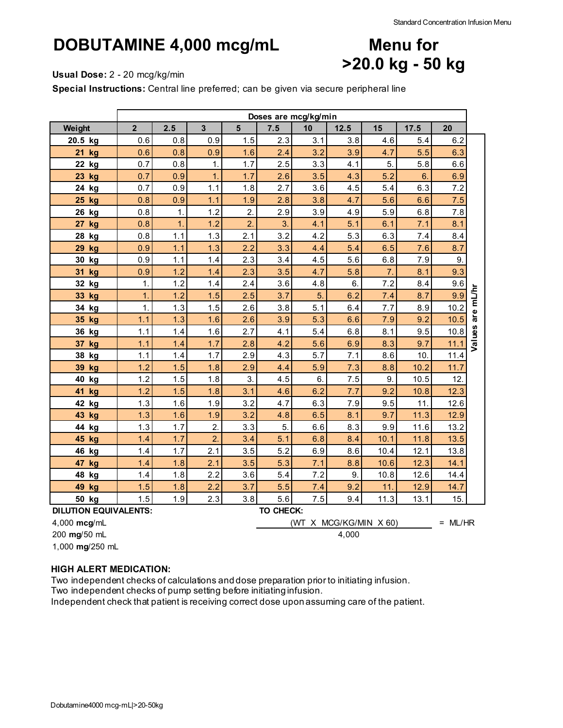**Menu for**

**>20.0 kg - 50 kg**

## **DOBUTAMINE 4,000 mcg/mL**

#### **Usual Dose:** 2 - 20 mcg/kg/min

**Special Instructions:** Central line preferred; can be given via secure peripheral line

|                              | Doses are mcg/kg/min |              |                  |                 |           |         |                        |      |      |           |                  |
|------------------------------|----------------------|--------------|------------------|-----------------|-----------|---------|------------------------|------|------|-----------|------------------|
| Weight                       | $\overline{2}$       | 2.5          | $\overline{3}$   | $5\overline{)}$ | 7.5       | 10      | 12.5                   | 15   | 17.5 | 20        |                  |
| 20.5 kg                      | 0.6                  | 0.8          | 0.9              | 1.5             | 2.3       | 3.1     | 3.8                    | 4.6  | 5.4  | 6.2       |                  |
| 21 kg                        | 0.6                  | 0.8          | 0.9              | 1.6             | 2.4       | 3.2     | 3.9                    | 4.7  | 5.5  | 6.3       |                  |
| 22 kg                        | 0.7                  | 0.8          | 1.               | 1.7             | 2.5       | 3.3     | 4.1                    | 5.   | 5.8  | 6.6       |                  |
| 23 kg                        | 0.7                  | 0.9          | 1.               | 1.7             | 2.6       | 3.5     | 4.3                    | 5.2  | 6.   | 6.9       |                  |
| 24 kg                        | 0.7                  | 0.9          | 1.1              | 1.8             | 2.7       | 3.6     | 4.5                    | 5.4  | 6.3  | 7.2       |                  |
| 25 kg                        | 0.8                  | 0.9          | 1.1              | 1.9             | 2.8       | 3.8     | 4.7                    | 5.6  | 6.6  | 7.5       |                  |
| 26 kg                        | 0.8                  | $\mathbf{1}$ | 1.2              | 2.              | 2.9       | 3.9     | 4.9                    | 5.9  | 6.8  | 7.8       |                  |
| 27<br>kg                     | 0.8                  | $\mathbf 1$  | 1.2              | 2.              | 3.        | 4.1     | 5.1                    | 6.1  | 7.1  | 8.1       |                  |
| kg<br>28                     | 0.8                  | 1.1          | 1.3              | 2.1             | 3.2       | 4.2     | 5.3                    | 6.3  | 7.4  | 8.4       |                  |
| 29<br>kg                     | 0.9                  | 1.1          | 1.3              | 2.2             | 3.3       | 4.4     | 5.4                    | 6.5  | 7.6  | 8.7       |                  |
| 30 kg                        | 0.9                  | 1.1          | 1.4              | 2.3             | 3.4       | 4.5     | 5.6                    | 6.8  | 7.9  | 9.        |                  |
| 31<br>kg                     | 0.9                  | 1.2          | 1.4              | 2.3             | 3.5       | 4.7     | 5.8                    | 7.   | 8.1  | 9.3       |                  |
| 32 kg                        | 1.                   | 1.2          | 1.4              | 2.4             | 3.6       | 4.8     | 6.                     | 7.2  | 8.4  | 9.6       |                  |
| 33 kg                        | $\mathbf 1$          | 1.2          | 1.5              | 2.5             | 3.7       | 5.      | 6.2                    | 7.4  | 8.7  | 9.9       |                  |
| 34 kg                        | $\mathbf 1$          | 1.3          | 1.5              | 2.6             | 3.8       | 5.1     | 6.4                    | 7.7  | 8.9  | 10.2      | Values are mL/hr |
| 35 kg                        | 1.1                  | 1.3          | 1.6              | 2.6             | 3.9       | 5.3     | 6.6                    | 7.9  | 9.2  | 10.5      |                  |
| 36 kg                        | 1.1                  | 1.4          | 1.6              | 2.7             | 4.1       | 5.4     | 6.8                    | 8.1  | 9.5  | 10.8      |                  |
| 37 kg                        | 1.1                  | 1.4          | 1.7              | 2.8             | 4.2       | 5.6     | 6.9                    | 8.3  | 9.7  | 11.1      |                  |
| 38 kg                        | 1.1                  | 1.4          | 1.7              | 2.9             | 4.3       | 5.7     | 7.1                    | 8.6  | 10.  | 11.4      |                  |
| 39 kg                        | 1.2                  | 1.5          | 1.8              | 2.9             | 4.4       | 5.9     | 7.3                    | 8.8  | 10.2 | 11.7      |                  |
| 40 kg                        | 1.2                  | 1.5          | 1.8              | 3.              | 4.5       | 6.      | 7.5                    | 9.   | 10.5 | 12.       |                  |
| 41<br>kg                     | 1.2                  | 1.5          | 1.8              | 3.1             | 4.6       | 6.2     | 7.7                    | 9.2  | 10.8 | 12.3      |                  |
| 42 kg                        | 1.3                  | 1.6          | 1.9              | 3.2             | 4.7       | 6.3     | 7.9                    | 9.5  | 11.  | 12.6      |                  |
| 43 kg                        | 1.3                  | 1.6          | 1.9              | 3.2             | 4.8       | 6.5     | 8.1                    | 9.7  | 11.3 | 12.9      |                  |
| 44 kg                        | 1.3                  | 1.7          | 2.               | 3.3             | 5.        | $6.6\,$ | 8.3                    | 9.9  | 11.6 | 13.2      |                  |
| 45 kg                        | 1.4                  | 1.7          | $\overline{2}$ . | 3.4             | 5.1       | 6.8     | 8.4                    | 10.1 | 11.8 | 13.5      |                  |
| 46<br>kg                     | 1.4                  | 1.7          | 2.1              | 3.5             | 5.2       | 6.9     | 8.6                    | 10.4 | 12.1 | 13.8      |                  |
| 47<br>kg                     | 1.4                  | 1.8          | 2.1              | 3.5             | 5.3       | 7.1     | 8.8                    | 10.6 | 12.3 | 14.1      |                  |
| 48 kg                        | 1.4                  | 1.8          | 2.2              | 3.6             | 5.4       | 7.2     | 9.                     | 10.8 | 12.6 | 14.4      |                  |
| 49 kg                        | 1.5                  | 1.8          | 2.2              | 3.7             | 5.5       | 7.4     | 9.2                    | 11.  | 12.9 | 14.7      |                  |
| 50 kg                        | 1.5                  | 1.9          | 2.3              | 3.8             | 5.6       | 7.5     | 9.4                    | 11.3 | 13.1 | 15.       |                  |
| <b>DILUTION EQUIVALENTS:</b> |                      |              |                  |                 | TO CHECK: |         |                        |      |      |           |                  |
| 4,000 mcg/mL                 |                      |              |                  |                 |           |         | (WT X MCG/KG/MIN X 60) |      |      | $= ML/HR$ |                  |
| 200 mg/50 mL                 | 4,000                |              |                  |                 |           |         |                        |      |      |           |                  |

1,000 **mg**/250 mL

### **HIGH ALERT MEDICATION:**

Two independent checks of calculations and dose preparation prior to initiating infusion.

Two independent checks of pump setting before initiating infusion.